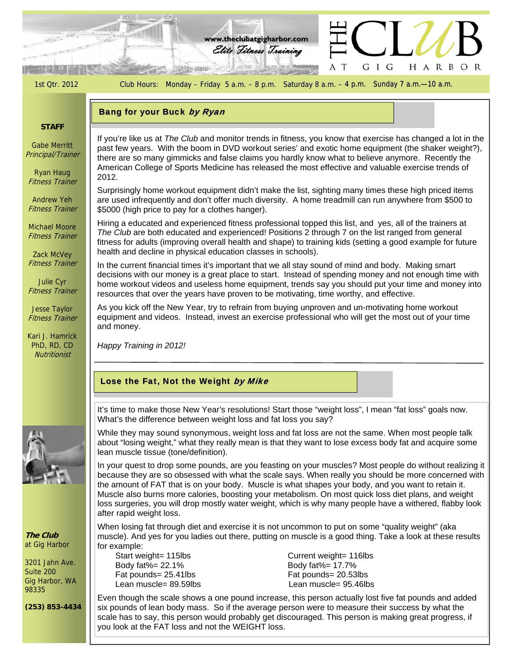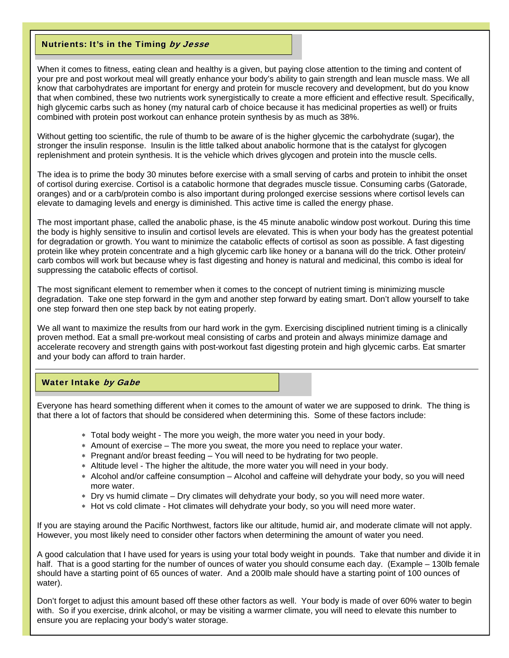## Nutrients: It's in the Timing by Jesse

When it comes to fitness, eating clean and healthy is a given, but paying close attention to the timing and content of your pre and post workout meal will greatly enhance your body's ability to gain strength and lean muscle mass. We all know that carbohydrates are important for energy and protein for muscle recovery and development, but do you know that when combined, these two nutrients work synergistically to create a more efficient and effective result. Specifically, high glycemic carbs such as honey (my natural carb of choice because it has medicinal properties as well) or fruits combined with protein post workout can enhance protein synthesis by as much as 38%.

Without getting too scientific, the rule of thumb to be aware of is the higher glycemic the carbohydrate (sugar), the stronger the insulin response. Insulin is the little talked about anabolic hormone that is the catalyst for glycogen replenishment and protein synthesis. It is the vehicle which drives glycogen and protein into the muscle cells.

The idea is to prime the body 30 minutes before exercise with a small serving of carbs and protein to inhibit the onset of cortisol during exercise. Cortisol is a catabolic hormone that degrades muscle tissue. Consuming carbs (Gatorade, oranges) and or a carb/protein combo is also important during prolonged exercise sessions where cortisol levels can elevate to damaging levels and energy is diminished. This active time is called the energy phase.

The most important phase, called the anabolic phase, is the 45 minute anabolic window post workout. During this time the body is highly sensitive to insulin and cortisol levels are elevated. This is when your body has the greatest potential for degradation or growth. You want to minimize the catabolic effects of cortisol as soon as possible. A fast digesting protein like whey protein concentrate and a high glycemic carb like honey or a banana will do the trick. Other protein/ carb combos will work but because whey is fast digesting and honey is natural and medicinal, this combo is ideal for suppressing the catabolic effects of cortisol.

The most significant element to remember when it comes to the concept of nutrient timing is minimizing muscle degradation. Take one step forward in the gym and another step forward by eating smart. Don't allow yourself to take one step forward then one step back by not eating properly.

We all want to maximize the results from our hard work in the gym. Exercising disciplined nutrient timing is a clinically proven method. Eat a small pre-workout meal consisting of carbs and protein and always minimize damage and accelerate recovery and strength gains with post-workout fast digesting protein and high glycemic carbs. Eat smarter and your body can afford to train harder.

## Water Intake by Gabe

Everyone has heard something different when it comes to the amount of water we are supposed to drink. The thing is that there a lot of factors that should be considered when determining this. Some of these factors include:

- Total body weight The more you weigh, the more water you need in your body.
- Amount of exercise The more you sweat, the more you need to replace your water.
- $*$  Pregnant and/or breast feeding  $-$  You will need to be hydrating for two people.
- Altitude level The higher the altitude, the more water you will need in your body.
- Alcohol and/or caffeine consumption Alcohol and caffeine will dehydrate your body, so you will need more water.
- Dry vs humid climate Dry climates will dehydrate your body, so you will need more water.
- Hot vs cold climate Hot climates will dehydrate your body, so you will need more water.

If you are staying around the Pacific Northwest, factors like our altitude, humid air, and moderate climate will not apply. However, you most likely need to consider other factors when determining the amount of water you need.

A good calculation that I have used for years is using your total body weight in pounds. Take that number and divide it in half. That is a good starting for the number of ounces of water you should consume each day. (Example – 130lb female should have a starting point of 65 ounces of water. And a 200lb male should have a starting point of 100 ounces of water).

Don't forget to adjust this amount based off these other factors as well. Your body is made of over 60% water to begin with. So if you exercise, drink alcohol, or may be visiting a warmer climate, you will need to elevate this number to ensure you are replacing your body's water storage.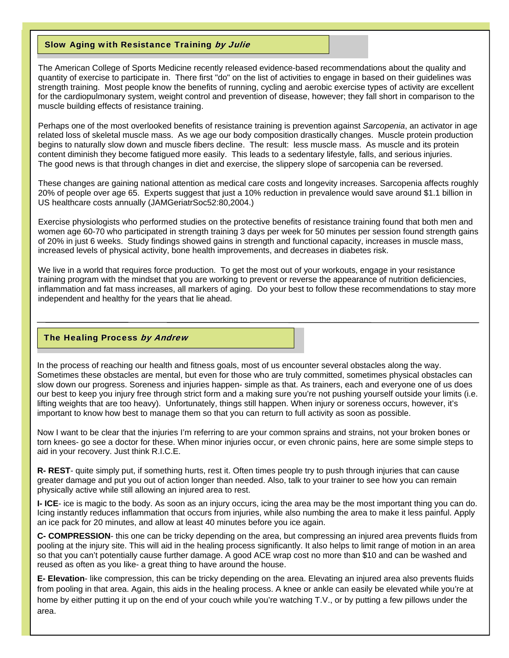### Slow Aging with Resistance Training by Julie

The American College of Sports Medicine recently released evidence-based recommendations about the quality and quantity of exercise to participate in. There first "do" on the list of activities to engage in based on their guidelines was strength training. Most people know the benefits of running, cycling and aerobic exercise types of activity are excellent for the cardiopulmonary system, weight control and prevention of disease, however; they fall short in comparison to the muscle building effects of resistance training.

Perhaps one of the most overlooked benefits of resistance training is prevention against *Sarcopenia*, an activator in age related loss of skeletal muscle mass. As we age our body composition drastically changes. Muscle protein production begins to naturally slow down and muscle fibers decline. The result: less muscle mass. As muscle and its protein content diminish they become fatigued more easily. This leads to a sedentary lifestyle, falls, and serious injuries. The good news is that through changes in diet and exercise, the slippery slope of sarcopenia can be reversed.

These changes are gaining national attention as medical care costs and longevity increases. Sarcopenia affects roughly 20% of people over age 65. Experts suggest that just a 10% reduction in prevalence would save around \$1.1 billion in US healthcare costs annually (JAMGeriatrSoc52:80,2004.)

Exercise physiologists who performed studies on the protective benefits of resistance training found that both men and women age 60-70 who participated in strength training 3 days per week for 50 minutes per session found strength gains of 20% in just 6 weeks. Study findings showed gains in strength and functional capacity, increases in muscle mass, increased levels of physical activity, bone health improvements, and decreases in diabetes risk.

We live in a world that requires force production. To get the most out of your workouts, engage in your resistance training program with the mindset that you are working to prevent or reverse the appearance of nutrition deficiencies, inflammation and fat mass increases, all markers of aging. Do your best to follow these recommendations to stay more independent and healthy for the years that lie ahead.

#### The Healing Process by Andrew

In the process of reaching our health and fitness goals, most of us encounter several obstacles along the way. Sometimes these obstacles are mental, but even for those who are truly committed, sometimes physical obstacles can slow down our progress. Soreness and injuries happen- simple as that. As trainers, each and everyone one of us does our best to keep you injury free through strict form and a making sure you're not pushing yourself outside your limits (i.e. lifting weights that are too heavy). Unfortunately, things still happen. When injury or soreness occurs, however, it's important to know how best to manage them so that you can return to full activity as soon as possible.

Now I want to be clear that the injuries I'm referring to are your common sprains and strains, not your broken bones or torn knees- go see a doctor for these. When minor injuries occur, or even chronic pains, here are some simple steps to aid in your recovery. Just think R.I.C.E.

**R- REST**- quite simply put, if something hurts, rest it. Often times people try to push through injuries that can cause greater damage and put you out of action longer than needed. Also, talk to your trainer to see how you can remain physically active while still allowing an injured area to rest.

**I- ICE**- ice is magic to the body. As soon as an injury occurs, icing the area may be the most important thing you can do. Icing instantly reduces inflammation that occurs from injuries, while also numbing the area to make it less painful. Apply an ice pack for 20 minutes, and allow at least 40 minutes before you ice again.

**C- COMPRESSION**- this one can be tricky depending on the area, but compressing an injured area prevents fluids from pooling at the injury site. This will aid in the healing process significantly. It also helps to limit range of motion in an area so that you can't potentially cause further damage. A good ACE wrap cost no more than \$10 and can be washed and reused as often as you like- a great thing to have around the house.

**E- Elevation**- like compression, this can be tricky depending on the area. Elevating an injured area also prevents fluids from pooling in that area. Again, this aids in the healing process. A knee or ankle can easily be elevated while you're at home by either putting it up on the end of your couch while you're watching T.V., or by putting a few pillows under the area.